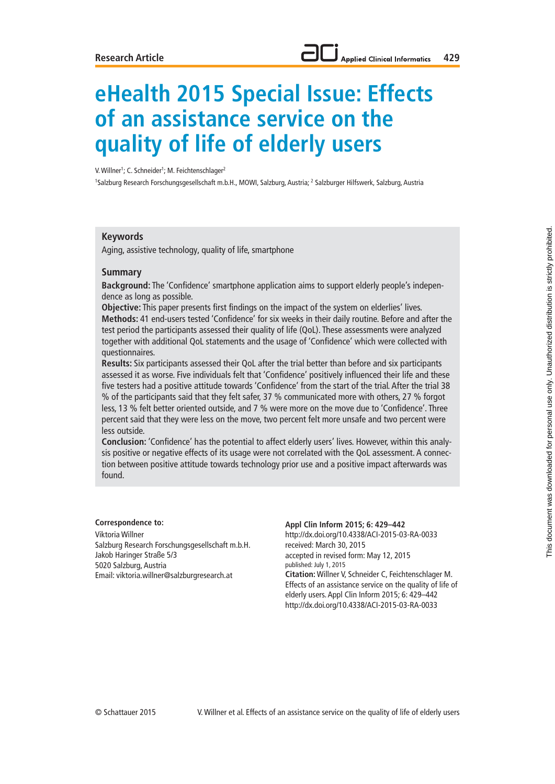# **eHealth 2015 Special Issue: Effects of an assistance service on the quality of life of elderly users**

V. Willner<sup>1</sup>; C. Schneider<sup>1</sup>; M. Feichtenschlager<sup>2</sup>

<sup>1</sup>Salzburg Research Forschungsgesellschaft m.b.H., MOWI, Salzburg, Austria; <sup>2</sup> Salzburger Hilfswerk, Salzburg, Austria

#### **Keywords**

Aging, assistive technology, quality of life, smartphone

#### **Summary**

**Background:** The 'Confidence' smartphone application aims to support elderly people's independence as long as possible.

**Objective:** This paper presents first findings on the impact of the system on elderlies' lives. **Methods:** 41 end-users tested 'Confidence' for six weeks in their daily routine. Before and after the test period the participants assessed their quality of life (QoL). These assessments were analyzed together with additional QoL statements and the usage of 'Confidence' which were collected with questionnaires.

**Results:** Six participants assessed their QoL after the trial better than before and six participants assessed it as worse. Five individuals felt that 'Confidence' positively influenced their life and these five testers had a positive attitude towards 'Confidence' from the start of the trial. After the trial 38 % of the participants said that they felt safer, 37 % communicated more with others, 27 % forgot less, 13 % felt better oriented outside, and 7 % were more on the move due to 'Confidence'. Three percent said that they were less on the move, two percent felt more unsafe and two percent were less outside.

**Conclusion:** 'Confidence' has the potential to affect elderly users' lives. However, within this analysis positive or negative effects of its usage were not correlated with the QoL assessment. A connection between positive attitude towards technology prior use and a positive impact afterwards was found.

#### **Correspondence to:**

Viktoria Willner Salzburg Research Forschungsgesellschaft m.b.H. Jakob Haringer Straße 5/3 5020 Salzburg, Austria Email: viktoria.willner@salzburgresearch.at

**Appl Clin Inform 2015; 6: 429–442**

http://dx.doi.org/10.4338/ACI-2015-03-RA-0033 received: March 30, 2015 accepted in revised form: May 12, 2015 published: July 1, 2015 **Citation:** Willner V, Schneider C, Feichtenschlager M. Effects of an assistance service on the quality of life of elderly users. Appl Clin Inform 2015; 6: 429–442 http://dx.doi.org/10.4338/ACI-2015-03-RA-0033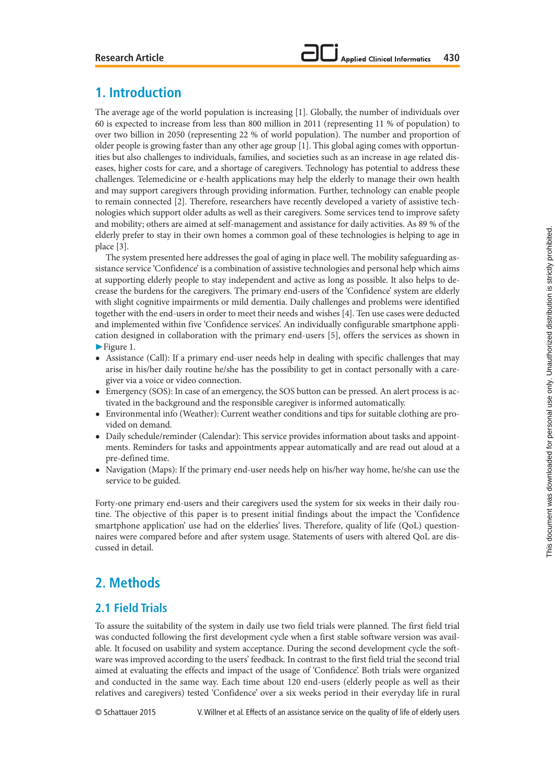# **1. Introduction**

The average age of the world population is increasing [1]. Globally, the number of individuals over 60 is expected to increase from less than 800 million in 2011 (representing 11 % of population) to over two billion in 2050 (representing 22 % of world population). The number and proportion of older people is growing faster than any other age group [1]. This global aging comes with opportunities but also challenges to individuals, families, and societies such as an increase in age related diseases, higher costs for care, and a shortage of caregivers. Technology has potential to address these challenges. Telemedicine or e-health applications may help the elderly to manage their own health and may support caregivers through providing information. Further, technology can enable people to remain connected [2]. Therefore, researchers have recently developed a variety of assistive technologies which support older adults as well as their caregivers. Some services tend to improve safety and mobility; others are aimed at self-management and assistance for daily activities. As 89 % of the elderly prefer to stay in their own homes a common goal of these technologies is helping to age in place [3].

The system presented here addresses the goal of aging in place well. The mobility safeguarding assistance service 'Confidence' is a combination of assistive technologies and personal help which aims at supporting elderly people to stay independent and active as long as possible. It also helps to decrease the burdens for the caregivers. The primary end-users of the 'Confidence' system are elderly with slight cognitive impairments or mild dementia. Daily challenges and problems were identified together with the end-users in order to meet their needs and wishes [4]. Ten use cases were deducted and implemented within five 'Confidence services'. An individually configurable smartphone application designed in collaboration with the primary end-users [5], offers the services as shown in ▶ Figure 1.

- **•** Assistance (Call): If a primary end-user needs help in dealing with specific challenges that may arise in his/her daily routine he/she has the possibility to get in contact personally with a caregiver via a voice or video connection.
- Emergency (SOS): In case of an emergency, the SOS button can be pressed. An alert process is activated in the background and the responsible caregiver is informed automatically.
- **•** Environmental info (Weather): Current weather conditions and tips for suitable clothing are provided on demand.
- **•** Daily schedule/reminder (Calendar): This service provides information about tasks and appointments. Reminders for tasks and appointments appear automatically and are read out aloud at a pre-defined time.
- Navigation (Maps): If the primary end-user needs help on his/her way home, he/she can use the service to be guided.

Forty-one primary end-users and their caregivers used the system for six weeks in their daily routine. The objective of this paper is to present initial findings about the impact the 'Confidence smartphone application' use had on the elderlies' lives. Therefore, quality of life (QoL) questionnaires were compared before and after system usage. Statements of users with altered QoL are discussed in detail.

# **2. Methods**

# **2.1 Field Trials**

To assure the suitability of the system in daily use two field trials were planned. The first field trial was conducted following the first development cycle when a first stable software version was available. It focused on usability and system acceptance. During the second development cycle the software was improved according to the users' feedback. In contrast to the first field trial the second trial aimed at evaluating the effects and impact of the usage of 'Confidence'. Both trials were organized and conducted in the same way. Each time about 120 end-users (elderly people as well as their relatives and caregivers) tested 'Confidence' over a six weeks period in their everyday life in rural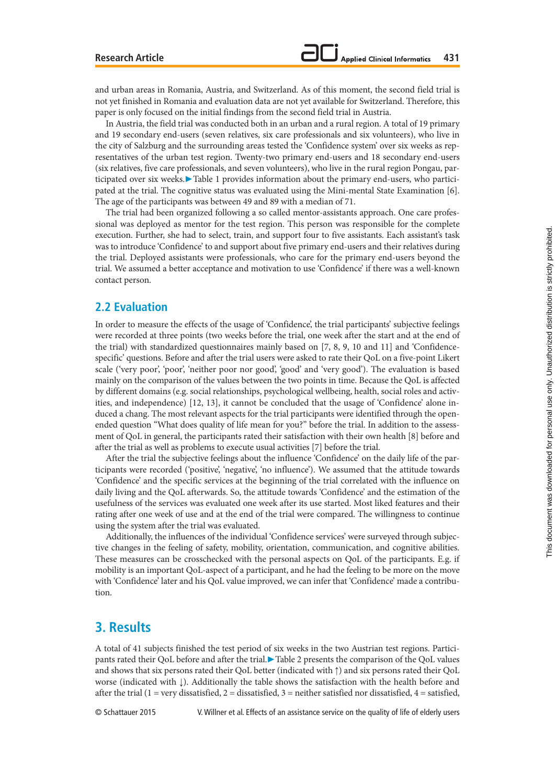and urban areas in Romania, Austria, and Switzerland. As of this moment, the second field trial is not yet finished in Romania and evaluation data are not yet available for Switzerland. Therefore, this paper is only focused on the initial findings from the second field trial in Austria.

In Austria, the field trial was conducted both in an urban and a rural region. A total of 19 primary and 19 secondary end-users (seven relatives, six care professionals and six volunteers), who live in the city of Salzburg and the surrounding areas tested the 'Confidence system' over six weeks as representatives of the urban test region. Twenty-two primary end-users and 18 secondary end-users (six relatives, five care professionals, and seven volunteers), who live in the rural region Pongau, participated over six weeks.▶ Table 1 provides information about the primary end-users, who participated at the trial. The cognitive status was evaluated using the Mini-mental State Examination [6]. The age of the participants was between 49 and 89 with a median of 71.

The trial had been organized following a so called mentor-assistants approach. One care professional was deployed as mentor for the test region. This person was responsible for the complete execution. Further, she had to select, train, and support four to five assistants. Each assistant's task was to introduce 'Confidence' to and support about five primary end-users and their relatives during the trial. Deployed assistants were professionals, who care for the primary end-users beyond the trial. We assumed a better acceptance and motivation to use 'Confidence' if there was a well-known contact person.

# **2.2 Evaluation**

In order to measure the effects of the usage of 'Confidence', the trial participants' subjective feelings were recorded at three points (two weeks before the trial, one week after the start and at the end of the trial) with standardized questionnaires mainly based on [7, 8, 9, 10 and 11] and 'Confidencespecific' questions. Before and after the trial users were asked to rate their QoL on a five-point Likert scale ('very poor', 'poor', 'neither poor nor good', 'good' and 'very good'). The evaluation is based mainly on the comparison of the values between the two points in time. Because the QoL is affected by different domains (e.g. social relationships, psychological wellbeing, health, social roles and activities, and independence) [12, 13], it cannot be concluded that the usage of 'Confidence' alone induced a chang. The most relevant aspects for the trial participants were identified through the openended question "What does quality of life mean for you?" before the trial. In addition to the assessment of QoL in general, the participants rated their satisfaction with their own health [8] before and after the trial as well as problems to execute usual activities [7] before the trial.

After the trial the subjective feelings about the influence 'Confidence' on the daily life of the participants were recorded ('positive', 'negative', 'no influence'). We assumed that the attitude towards 'Confidence' and the specific services at the beginning of the trial correlated with the influence on daily living and the QoL afterwards. So, the attitude towards 'Confidence' and the estimation of the usefulness of the services was evaluated one week after its use started. Most liked features and their rating after one week of use and at the end of the trial were compared. The willingness to continue using the system after the trial was evaluated.

Additionally, the influences of the individual 'Confidence services' were surveyed through subjective changes in the feeling of safety, mobility, orientation, communication, and cognitive abilities. These measures can be crosschecked with the personal aspects on QoL of the participants. E.g. if mobility is an important QoL-aspect of a participant, and he had the feeling to be more on the move with 'Confidence' later and his QoL value improved, we can infer that 'Confidence' made a contribution.

# **3. Results**

A total of 41 subjects finished the test period of six weeks in the two Austrian test regions. Participants rated their QoL before and after the trial.▶ Table 2 presents the comparison of the QoL values and shows that six persons rated their QoL better (indicated with ↑) and six persons rated their QoL worse (indicated with ↓). Additionally the table shows the satisfaction with the health before and after the trial (1 = very dissatisfied, 2 = dissatisfied, 3 = neither satisfied nor dissatisfied, 4 = satisfied,

V. Willner et al. Effects of an assistance service on the quality of life of elderly users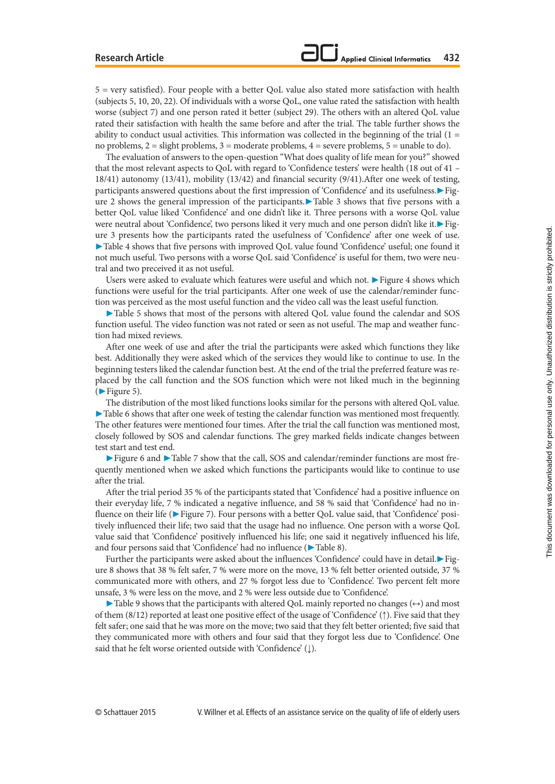5 = very satisfied). Four people with a better QoL value also stated more satisfaction with health (subjects 5, 10, 20, 22). Of individuals with a worse QoL, one value rated the satisfaction with health worse (subject 7) and one person rated it better (subject 29). The others with an altered QoL value rated their satisfaction with health the same before and after the trial. The table further shows the ability to conduct usual activities. This information was collected in the beginning of the trial  $(1 =$ no problems,  $2 =$  slight problems,  $3 =$  moderate problems,  $4 =$  severe problems,  $5 =$  unable to do).

The evaluation of answers to the open-question "What does quality of life mean for you?" showed that the most relevant aspects to QoL with regard to 'Confidence testers' were health (18 out of 41 – 18/41) autonomy (13/41), mobility (13/42) and financial security (9/41).After one week of testing, participants answered questions about the first impression of 'Confidence' and its usefulness.▶ Figure 2 shows the general impression of the participants.▶ Table 3 shows that five persons with a better QoL value liked 'Confidence' and one didn't like it. Three persons with a worse QoL value were neutral about 'Confidence', two persons liked it very much and one person didn't like it.▶ Figure 3 presents how the participants rated the usefulness of 'Confidence' after one week of use. ▶ Table 4 shows that five persons with improved QoL value found 'Confidence' useful; one found it not much useful. Two persons with a worse QoL said 'Confidence' is useful for them, two were neutral and two preceived it as not useful.

Users were asked to evaluate which features were useful and which not. ▶ Figure 4 shows which functions were useful for the trial participants. After one week of use the calendar/reminder function was perceived as the most useful function and the video call was the least useful function.

▶ Table 5 shows that most of the persons with altered QoL value found the calendar and SOS function useful. The video function was not rated or seen as not useful. The map and weather function had mixed reviews.

After one week of use and after the trial the participants were asked which functions they like best. Additionally they were asked which of the services they would like to continue to use. In the beginning testers liked the calendar function best. At the end of the trial the preferred feature was replaced by the call function and the SOS function which were not liked much in the beginning (▶ Figure 5).

The distribution of the most liked functions looks similar for the persons with altered QoL value. ▶ Table 6 shows that after one week of testing the calendar function was mentioned most frequently. The other features were mentioned four times. After the trial the call function was mentioned most, closely followed by SOS and calendar functions. The grey marked fields indicate changes between test start and test end.

▶ Figure 6 and ▶ Table 7 show that the call, SOS and calendar/reminder functions are most frequently mentioned when we asked which functions the participants would like to continue to use after the trial.

After the trial period 35 % of the participants stated that 'Confidence' had a positive influence on their everyday life, 7 % indicated a negative influence, and 58 % said that 'Confidence' had no influence on their life (▶ Figure 7). Four persons with a better QoL value said, that 'Confidence' positively influenced their life; two said that the usage had no influence. One person with a worse QoL value said that 'Confidence' positively influenced his life; one said it negatively influenced his life, and four persons said that 'Confidence' had no influence (▶ Table 8).

Further the participants were asked about the influences 'Confidence' could have in detail.▶ Figure 8 shows that 38 % felt safer, 7 % were more on the move, 13 % felt better oriented outside, 37 % communicated more with others, and 27 % forgot less due to 'Confidence'. Two percent felt more unsafe, 3 % were less on the move, and 2 % were less outside due to 'Confidence'.

 $\triangleright$  Table 9 shows that the participants with altered QoL mainly reported no changes ( $\leftrightarrow$ ) and most of them (8/12) reported at least one positive effect of the usage of 'Confidence' (↑). Five said that they felt safer; one said that he was more on the move; two said that they felt better oriented; five said that they communicated more with others and four said that they forgot less due to 'Confidence'. One said that he felt worse oriented outside with 'Confidence' (1).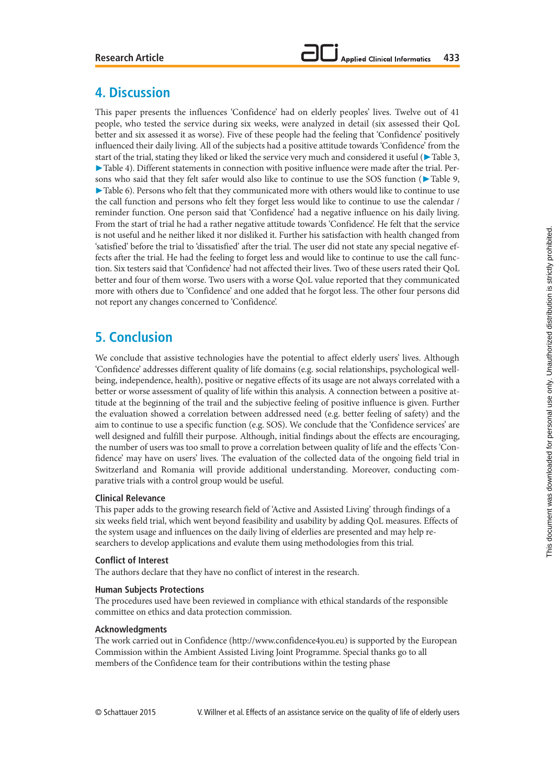# **4. Discussion**

This paper presents the influences 'Confidence' had on elderly peoples' lives. Twelve out of 41 people, who tested the service during six weeks, were analyzed in detail (six assessed their QoL better and six assessed it as worse). Five of these people had the feeling that 'Confidence' positively influenced their daily living. All of the subjects had a positive attitude towards 'Confidence' from the start of the trial, stating they liked or liked the service very much and considered it useful (▶ Table 3, ▶ Table 4). Different statements in connection with positive influence were made after the trial. Persons who said that they felt safer would also like to continue to use the SOS function (▶ Table 9, ▶ Table 6). Persons who felt that they communicated more with others would like to continue to use the call function and persons who felt they forget less would like to continue to use the calendar / reminder function. One person said that 'Confidence' had a negative influence on his daily living. From the start of trial he had a rather negative attitude towards 'Confidence'. He felt that the service is not useful and he neither liked it nor disliked it. Further his satisfaction with health changed from 'satisfied' before the trial to 'dissatisfied' after the trial. The user did not state any special negative effects after the trial. He had the feeling to forget less and would like to continue to use the call function. Six testers said that 'Confidence' had not affected their lives. Two of these users rated their QoL better and four of them worse. Two users with a worse QoL value reported that they communicated more with others due to 'Confidence' and one added that he forgot less. The other four persons did not report any changes concerned to 'Confidence'.

# **5. Conclusion**

We conclude that assistive technologies have the potential to affect elderly users' lives. Although 'Confidence' addresses different quality of life domains (e.g. social relationships, psychological wellbeing, independence, health), positive or negative effects of its usage are not always correlated with a better or worse assessment of quality of life within this analysis. A connection between a positive attitude at the beginning of the trail and the subjective feeling of positive influence is given. Further the evaluation showed a correlation between addressed need (e.g. better feeling of safety) and the aim to continue to use a specific function (e.g. SOS). We conclude that the 'Confidence services' are well designed and fulfill their purpose. Although, initial findings about the effects are encouraging, the number of users was too small to prove a correlation between quality of life and the effects 'Confidence' may have on users' lives. The evaluation of the collected data of the ongoing field trial in Switzerland and Romania will provide additional understanding. Moreover, conducting comparative trials with a control group would be useful.

#### **Clinical Relevance**

This paper adds to the growing research field of 'Active and Assisted Living' through findings of a six weeks field trial, which went beyond feasibility and usability by adding QoL measures. Effects of the system usage and influences on the daily living of elderlies are presented and may help researchers to develop applications and evalute them using methodologies from this trial.

#### **Conflict of Interest**

The authors declare that they have no conflict of interest in the research.

#### **Human Subjects Protections**

The procedures used have been reviewed in compliance with ethical standards of the responsible committee on ethics and data protection commission.

#### **Acknowledgments**

The work carried out in Confidence (http://www.confidence4you.eu) is supported by the European Commission within the Ambient Assisted Living Joint Programme. Special thanks go to all members of the Confidence team for their contributions within the testing phase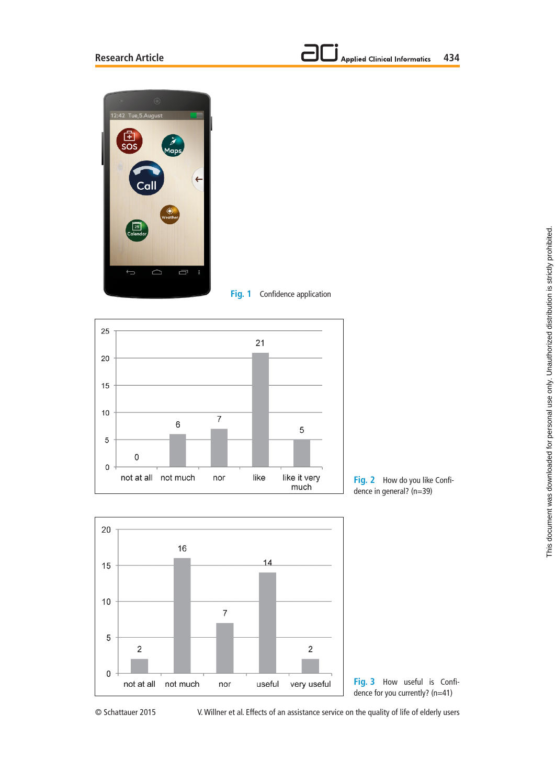

**Fig. 1** Confidence application











V. Willner et al. Effects of an assistance service on the quality of life of elderly users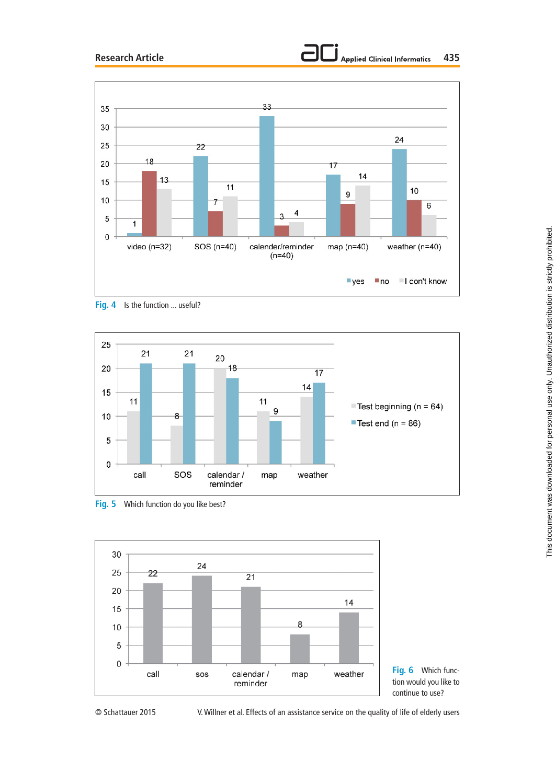



Fig. 4 Is the function ... useful?



**Fig. 5** Which function do you like best?





V. Willner et al. Effects of an assistance service on the quality of life of elderly users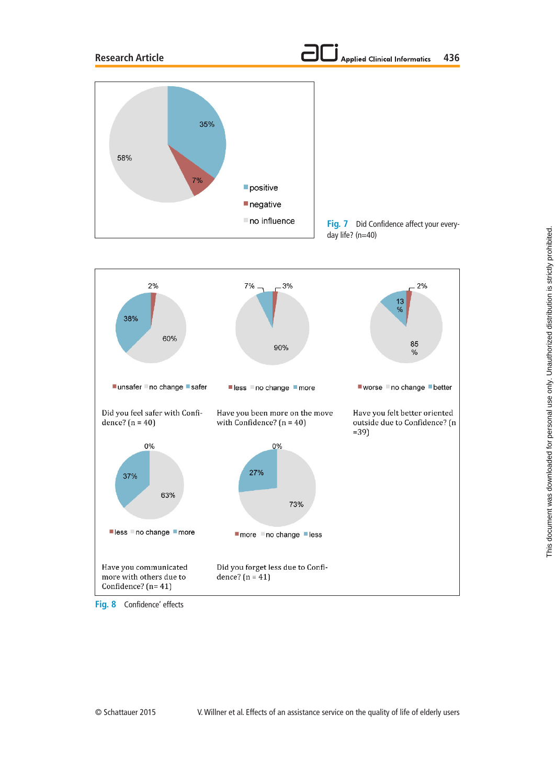

**Fig. 8** Confidence' effects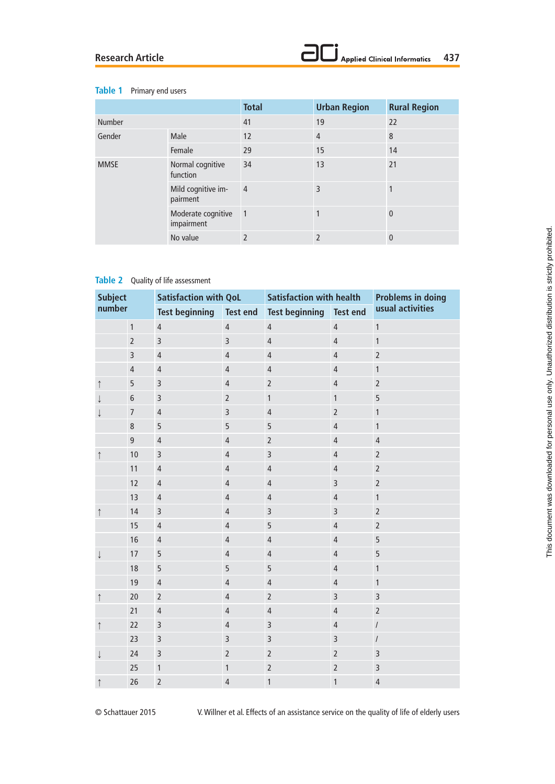#### **Table 1** Primary end users

|               |                                  | <b>Total</b>   | <b>Urban Region</b> | <b>Rural Region</b> |
|---------------|----------------------------------|----------------|---------------------|---------------------|
| <b>Number</b> |                                  | 41             | 19                  | 22                  |
| Gender        | Male                             | 12             | $\overline{4}$      | 8                   |
|               | Female                           | 29             | 15                  | 14                  |
| <b>MMSE</b>   | Normal cognitive<br>function     | 34             | 13                  | 21                  |
|               | Mild cognitive im-<br>pairment   | $\overline{4}$ | $\overline{3}$      |                     |
|               | Moderate cognitive<br>impairment | $\vert$ 1      |                     | $\Omega$            |
|               | No value                         | $\mathfrak z$  | $\mathfrak{p}$      | $\overline{0}$      |

### **Table 2** Quality of life assessment

| <b>Subject</b><br>number |                  | <b>Satisfaction with QoL</b> |                         | <b>Satisfaction with health</b> |                | <b>Problems in doing</b> |  |
|--------------------------|------------------|------------------------------|-------------------------|---------------------------------|----------------|--------------------------|--|
|                          |                  | <b>Test beginning</b>        | <b>Test end</b>         | <b>Test beginning</b> Test end  |                | usual activities         |  |
|                          | $\mathbf{1}$     | $\sqrt{4}$                   | $\overline{4}$          | $\overline{4}$                  | $\overline{4}$ | $\mathbf{1}$             |  |
|                          | $\overline{2}$   | 3                            | $\overline{3}$          | $\overline{4}$                  | $\overline{4}$ | $\overline{1}$           |  |
|                          | $\overline{3}$   | $\sqrt{4}$                   | $\overline{4}$          | $\overline{4}$                  | $\overline{4}$ | $\overline{2}$           |  |
|                          | $\overline{4}$   | $\overline{4}$               | $\overline{4}$          | $\overline{4}$                  | $\overline{4}$ | $\mathbf{1}$             |  |
| $\uparrow$               | 5                | $\overline{3}$               | $\overline{4}$          | $\overline{2}$                  | $\overline{4}$ | $\overline{2}$           |  |
| $\downarrow$             | $\boldsymbol{6}$ | $\overline{\mathbf{3}}$      | $\overline{2}$          | $\mathbf{1}$                    | $\mathbf{1}$   | 5                        |  |
|                          | $\overline{7}$   | $\sqrt{4}$                   | $\overline{3}$          | $\overline{4}$                  | $\overline{2}$ | $\mathbf{1}$             |  |
|                          | $\,8\,$          | 5                            | 5                       | 5                               | $\overline{4}$ | $\mathbf{1}$             |  |
|                          | $\overline{9}$   | $\sqrt{4}$                   | $\overline{4}$          | $\overline{2}$                  | $\overline{4}$ | $\sqrt{4}$               |  |
| $\uparrow$               | 10               | $\overline{3}$               | $\overline{4}$          | $\overline{3}$                  | $\overline{4}$ | $\overline{2}$           |  |
|                          | 11               | $\overline{4}$               | $\overline{4}$          | $\overline{4}$                  | $\overline{4}$ | $\overline{2}$           |  |
|                          | 12               | $\sqrt{4}$                   | $\overline{4}$          | $\overline{4}$                  | 3              | $\mathbf 2$              |  |
|                          | 13               | $\overline{4}$               | $\overline{4}$          | $\overline{4}$                  | $\overline{4}$ | $\mathbf{1}$             |  |
| $\uparrow$               | 14               | 3                            | $\overline{4}$          | $\overline{3}$                  | $\overline{3}$ | $\overline{2}$           |  |
|                          | 15               | $\sqrt{4}$                   | $\overline{4}$          | 5                               | $\overline{4}$ | $\overline{2}$           |  |
|                          | 16               | $\sqrt{4}$                   | $\overline{4}$          | $\overline{4}$                  | $\overline{4}$ | 5                        |  |
| $\downarrow$             | 17               | 5                            | $\overline{4}$          | $\overline{4}$                  | $\overline{4}$ | 5                        |  |
|                          | 18               | 5                            | 5                       | 5                               | $\overline{4}$ | $\mathbf{1}$             |  |
|                          | 19               | $\overline{4}$               | $\overline{4}$          | $\overline{4}$                  | $\overline{4}$ | $\mathbf{1}$             |  |
| ↑                        | 20               | $\overline{2}$               | $\overline{4}$          | $\overline{2}$                  | 3              | $\overline{\mathbf{3}}$  |  |
|                          | 21               | $\sqrt{4}$                   | $\overline{4}$          | $\overline{4}$                  | $\overline{4}$ | $\overline{2}$           |  |
| $\uparrow$               | 22               | 3                            | $\overline{4}$          | $\overline{3}$                  | $\overline{4}$ | $\overline{1}$           |  |
|                          | 23               | 3                            | $\overline{\mathbf{3}}$ | $\overline{3}$                  | 3              | $\sqrt{ }$               |  |
| $\downarrow$             | 24               | $\overline{3}$               | $\overline{2}$          | $\overline{2}$                  | $\overline{2}$ | $\overline{\mathbf{3}}$  |  |
|                          | 25               | $\mathbf{1}$                 | $\mathbf{1}$            | $\mathbf 2$                     | $\overline{2}$ | $\overline{\mathbf{3}}$  |  |
| $\uparrow$               | 26               | $\overline{2}$               | $\overline{4}$          | $\mathbf{1}$                    | $\mathbf{1}$   | $\overline{4}$           |  |

V. Willner et al. Effects of an assistance service on the quality of life of elderly users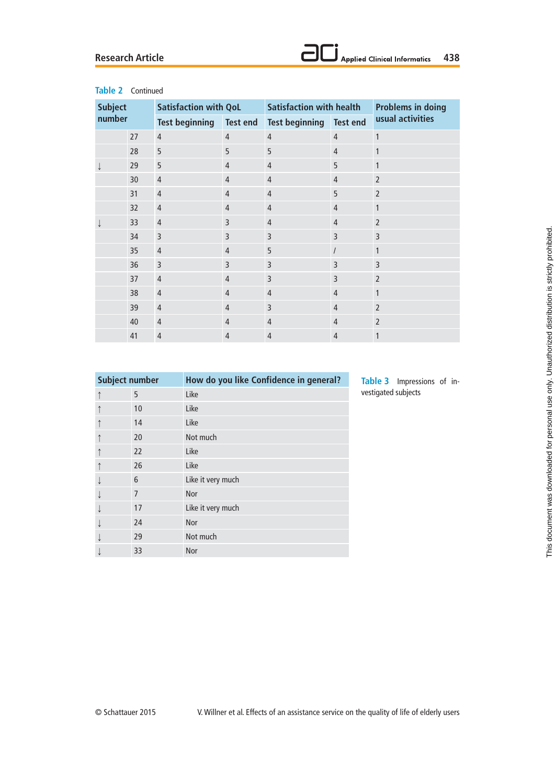| <b>Subject</b><br>number |    | <b>Satisfaction with QoL</b>   |                | <b>Satisfaction with health</b> |                | <b>Problems in doing</b> |
|--------------------------|----|--------------------------------|----------------|---------------------------------|----------------|--------------------------|
|                          |    | <b>Test beginning</b> Test end |                | <b>Test beginning</b> Test end  |                | usual activities         |
|                          | 27 | $\overline{4}$                 | $\overline{4}$ | $\overline{4}$                  | $\overline{4}$ | 1                        |
|                          | 28 | 5                              | 5              | 5                               | $\overline{4}$ | $\mathbf{1}$             |
|                          | 29 | 5                              | $\overline{4}$ | $\overline{4}$                  | 5              | 1                        |
|                          | 30 | $\overline{4}$                 | $\overline{4}$ | $\overline{4}$                  | $\overline{4}$ | $\overline{2}$           |
|                          | 31 | $\overline{4}$                 | $\overline{4}$ | $\overline{4}$                  | 5              | $\overline{2}$           |
|                          | 32 | $\overline{4}$                 | $\overline{4}$ | $\overline{4}$                  | $\overline{4}$ | $\mathbf{1}$             |
|                          | 33 | $\overline{4}$                 | 3              | $\overline{4}$                  | $\overline{4}$ | $\overline{2}$           |
|                          | 34 | 3                              | $\overline{3}$ | 3                               | $\overline{3}$ | 3                        |
|                          | 35 | $\overline{4}$                 | $\overline{4}$ | 5                               |                | 1                        |
|                          | 36 | $\overline{3}$                 | $\overline{3}$ | $\overline{3}$                  | 3              | 3                        |
|                          | 37 | $\overline{4}$                 | $\overline{4}$ | 3                               | 3              | $\overline{2}$           |
|                          | 38 | $\overline{4}$                 | $\overline{4}$ | $\overline{4}$                  | $\overline{4}$ | 1                        |
|                          | 39 | $\overline{4}$                 | $\overline{4}$ | $\overline{3}$                  | $\overline{4}$ | $\overline{2}$           |
|                          | 40 | $\overline{4}$                 | $\overline{4}$ | $\overline{4}$                  | $\overline{4}$ | $\overline{2}$           |
|                          | 41 | $\overline{4}$                 | $\overline{4}$ | $\overline{4}$                  | $\overline{4}$ | 1                        |

#### **Table 2** Continued

| <b>Subject number</b> |                | How do you like Confidence in general? |
|-----------------------|----------------|----------------------------------------|
|                       | 5              | Like                                   |
|                       | 10             | Like                                   |
|                       | 14             | Like                                   |
|                       | 20             | Not much                               |
|                       | 22             | Like                                   |
|                       | 26             | Like                                   |
|                       | 6              | Like it very much                      |
|                       | $\overline{7}$ | Nor                                    |
|                       | 17             | Like it very much                      |
|                       | 24             | Nor                                    |
|                       | 29             | Not much                               |
|                       | 33             | Nor                                    |

**Table 3** Impressions of investigated subjects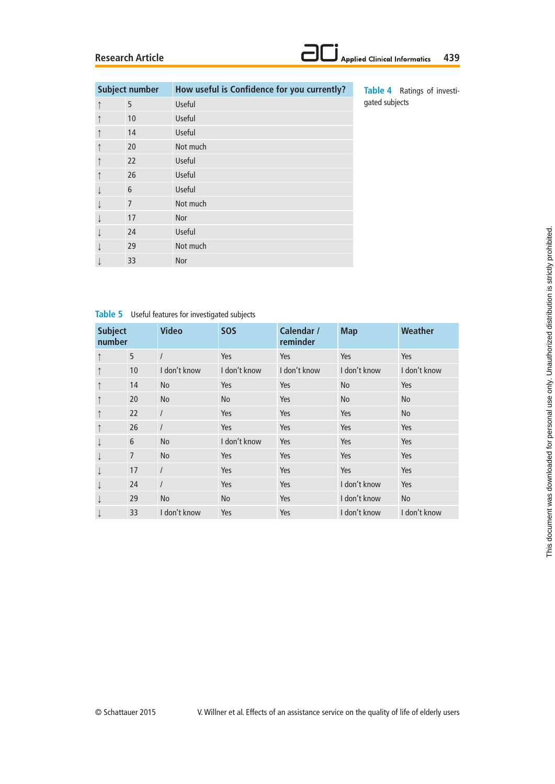|  | Anolied Clinical Informaties are a | 439 |
|--|------------------------------------|-----|
|  |                                    |     |

| <b>Subject number</b> |                | How useful is Confidence for you currently? |
|-----------------------|----------------|---------------------------------------------|
|                       | 5              | <b>Useful</b>                               |
|                       | 10             | <b>Useful</b>                               |
|                       | 14             | <b>Useful</b>                               |
|                       | 20             | Not much                                    |
|                       | 22             | <b>Useful</b>                               |
| ↑                     | 26             | <b>Useful</b>                               |
|                       | 6              | Useful                                      |
|                       | $\overline{7}$ | Not much                                    |
|                       | 17             | Nor                                         |
|                       | 24             | <b>Useful</b>                               |
|                       | 29             | Not much                                    |
| ↓                     | 33             | Nor                                         |

**Table 4** Ratings of investigated subjects

|  | Table 5 Useful features for investigated subjects |  |  |
|--|---------------------------------------------------|--|--|
|--|---------------------------------------------------|--|--|

| <b>Subject</b><br>number |                | <b>Video</b> | <b>SOS</b>   | Calendar /<br>reminder | <b>Map</b>   | <b>Weather</b> |
|--------------------------|----------------|--------------|--------------|------------------------|--------------|----------------|
|                          | 5              |              | Yes          | Yes                    | Yes          | <b>Yes</b>     |
|                          | 10             | I don't know | I don't know | I don't know           | I don't know | I don't know   |
|                          | 14             | <b>No</b>    | Yes          | Yes                    | <b>No</b>    | Yes            |
|                          | 20             | <b>No</b>    | <b>No</b>    | Yes                    | <b>No</b>    | <b>No</b>      |
|                          | 22             |              | Yes          | Yes                    | Yes          | <b>No</b>      |
|                          | 26             | $\sqrt{ }$   | Yes          | Yes                    | Yes          | <b>Yes</b>     |
|                          | 6              | <b>No</b>    | I don't know | Yes                    | Yes          | <b>Yes</b>     |
|                          | $\overline{7}$ | <b>No</b>    | Yes          | Yes                    | Yes          | Yes            |
|                          | 17             | $\prime$     | Yes          | Yes                    | Yes          | Yes            |
|                          | 24             | $\prime$     | Yes          | Yes                    | I don't know | Yes            |
|                          | 29             | <b>No</b>    | <b>No</b>    | Yes                    | I don't know | <b>No</b>      |
|                          | 33             | I don't know | Yes          | Yes                    | I don't know | I don't know   |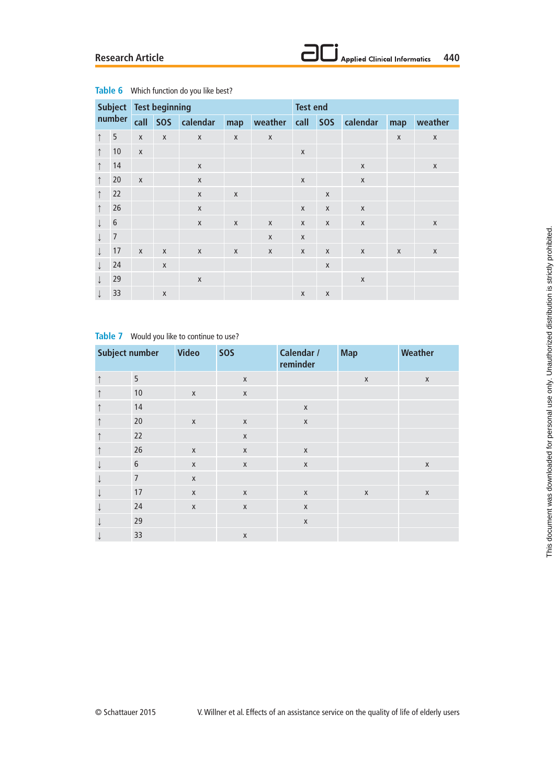|   |                | <b>Subject</b> Test beginning |              |              | <b>Test end</b> |              |              |              |              |              |              |
|---|----------------|-------------------------------|--------------|--------------|-----------------|--------------|--------------|--------------|--------------|--------------|--------------|
|   | number         |                               | call SOS     | calendar     | map             | weather      | call         | <b>SOS</b>   | calendar     | map          | weather      |
| ↑ | 5              | X                             | $\pmb{\chi}$ | $\mathsf X$  | $\pmb{\chi}$    | $\pmb{\chi}$ |              |              |              | X            | X            |
|   | 10             | $\pmb{\chi}$                  |              |              |                 |              | X            |              |              |              |              |
|   | 14             |                               |              | $\mathsf{X}$ |                 |              |              |              | $\pmb{\chi}$ |              | X            |
|   | 20             | $\mathsf{X}$                  |              | $\mathsf{X}$ |                 |              | $\mathsf{X}$ |              | $\pmb{\chi}$ |              |              |
|   | 22             |                               |              | $\pmb{\chi}$ | $\mathsf{X}$    |              |              | X            |              |              |              |
|   | 26             |                               |              | $\mathsf{X}$ |                 |              | $\mathsf{X}$ | $\pmb{\chi}$ | $\mathsf{X}$ |              |              |
|   | $\sqrt{6}$     |                               |              | $\mathsf{X}$ | $\mathsf{X}$    | $\mathsf{X}$ | $\mathsf{X}$ | $\chi$       | $\chi$       |              | $\mathsf{X}$ |
|   | $\overline{7}$ |                               |              |              |                 | $\mathsf{X}$ | X            |              |              |              |              |
|   | 17             | $\pmb{\chi}$                  | $\mathsf{X}$ | $\mathsf{X}$ | $\mathsf{X}$    | $\pmb{\chi}$ | $\mathsf{X}$ | $\mathsf{X}$ | $\mathsf{X}$ | $\mathsf{X}$ | X            |
|   | 24             |                               | $\mathsf{X}$ |              |                 |              |              | $\pmb{\chi}$ |              |              |              |
|   | 29             |                               |              | $\mathsf{X}$ |                 |              |              |              | $\pmb{\chi}$ |              |              |
|   | 33             |                               | $\mathsf{X}$ |              |                 |              | $\mathsf{X}$ | $\mathsf{X}$ |              |              |              |

#### **Table 6** Which function do you like best?

### Table 7 Would you like to continue to use?

| <b>Subject number</b> |                | <b>Video</b> | <b>SOS</b>       | Calendar /<br>reminder | <b>Map</b>   | Weather      |
|-----------------------|----------------|--------------|------------------|------------------------|--------------|--------------|
|                       | 5              |              | $\pmb{\chi}$     |                        | $\pmb{\chi}$ | $\pmb{\chi}$ |
|                       | 10             | $\pmb{\chi}$ | $\pmb{\chi}$     |                        |              |              |
|                       | 14             |              |                  | $\pmb{\chi}$           |              |              |
|                       | 20             | $\pmb{\chi}$ | $\pmb{\chi}$     | $\pmb{\chi}$           |              |              |
| ↑                     | 22             |              | $\pmb{\chi}$     |                        |              |              |
|                       | 26             | $\mathsf{X}$ | $\boldsymbol{X}$ | $\mathsf{X}$           |              |              |
|                       | $6\,$          | $\mathsf{x}$ | $\pmb{\chi}$     | $\pmb{\chi}$           |              | $\pmb{\chi}$ |
|                       | $\overline{7}$ | $\pmb{\chi}$ |                  |                        |              |              |
|                       | 17             | X            | $\pmb{\chi}$     | $\mathsf X$            | $\pmb{\chi}$ | $\mathsf{X}$ |
|                       | 24             | $\mathsf{x}$ | $\pmb{\chi}$     | $\mathsf{X}$           |              |              |
|                       | 29             |              |                  | $\pmb{\chi}$           |              |              |
| ↓                     | 33             |              | $\boldsymbol{X}$ |                        |              |              |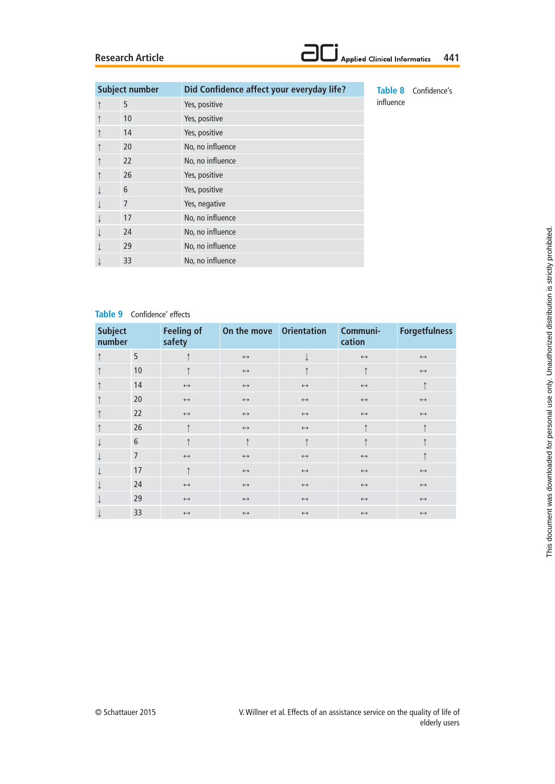| <b>Subject number</b> | Did Confidence affect your everyday life? |
|-----------------------|-------------------------------------------|
| 5                     | Yes, positive                             |
| 10                    | Yes, positive                             |
| 14                    | Yes, positive                             |
| 20                    | No, no influence                          |
| 22                    | No, no influence                          |
| 26                    | Yes, positive                             |
| 6                     | Yes, positive                             |
| 7                     | Yes, negative                             |
| 17                    | No, no influence                          |
| 24                    | No, no influence                          |
| 29                    | No, no influence                          |
| 33                    | No, no influence                          |

**Table 8** Confidence's influence

|  | <b>Table 9</b> Confidence' effects |  |
|--|------------------------------------|--|
|  |                                    |  |

| <b>Subject</b><br>number |                | <b>Feeling of</b><br>safety | On the move           | <b>Orientation</b>    | Communi-<br>cation    | <b>Forgetfulness</b>  |
|--------------------------|----------------|-----------------------------|-----------------------|-----------------------|-----------------------|-----------------------|
| ↑                        | 5              | $\uparrow$                  | $\leftrightarrow$     |                       | $\leftrightarrow$     | $\leftrightarrow$     |
|                          | 10             | $\uparrow$                  | $\leftrightarrow$     | ↑                     | $\uparrow$            | $\leftrightarrow$     |
|                          | 14             | $\leftrightarrow$           | $\longleftrightarrow$ | $\longleftrightarrow$ | $\leftrightarrow$     | $\uparrow$            |
|                          | 20             | $\leftrightarrow$           | $\longleftrightarrow$ | $\longleftrightarrow$ | $\leftrightarrow$     | $\longleftrightarrow$ |
|                          | 22             | $\leftrightarrow$           | $\leftrightarrow$     | $\leftrightarrow$     | $\leftrightarrow$     | $\leftrightarrow$     |
|                          | 26             | $\uparrow$                  | $\leftrightarrow$     | $\leftrightarrow$     | $\uparrow$            | 1                     |
|                          | 6              | $\uparrow$                  | ↑                     | ↑                     | $\uparrow$            | 4                     |
|                          | $\overline{7}$ | $\leftrightarrow$           | $\leftrightarrow$     | $\leftrightarrow$     | $\leftrightarrow$     | 1                     |
|                          | 17             | $\uparrow$                  | $\leftrightarrow$     | $\leftrightarrow$     | $\leftrightarrow$     | $\leftrightarrow$     |
|                          | 24             | $\leftrightarrow$           | $\leftrightarrow$     | $\leftrightarrow$     | $\leftrightarrow$     | $\leftrightarrow$     |
|                          | 29             | $\leftrightarrow$           | $\leftrightarrow$     | $\leftrightarrow$     | $\leftrightarrow$     | $\leftrightarrow$     |
|                          | 33             | $\longleftrightarrow$       | $\longleftrightarrow$ | $\longleftrightarrow$ | $\longleftrightarrow$ | $\longleftrightarrow$ |